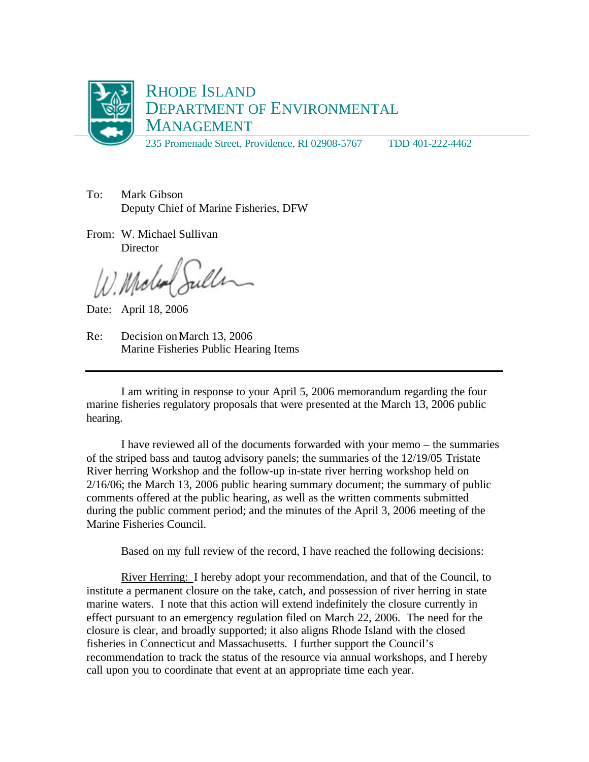

To: Mark Gibson Deputy Chief of Marine Fisheries, DFW

From: W. Michael Sullivan **Director** 

W. Molen Suller

Date: April 18, 2006

Re: Decision on March 13, 2006 Marine Fisheries Public Hearing Items

I am writing in response to your April 5, 2006 memorandum regarding the four marine fisheries regulatory proposals that were presented at the March 13, 2006 public hearing.

I have reviewed all of the documents forwarded with your memo – the summaries of the striped bass and tautog advisory panels; the summaries of the 12/19/05 Tristate River herring Workshop and the follow-up in-state river herring workshop held on 2/16/06; the March 13, 2006 public hearing summary document; the summary of public comments offered at the public hearing, as well as the written comments submitted during the public comment period; and the minutes of the April 3, 2006 meeting of the Marine Fisheries Council.

Based on my full review of the record, I have reached the following decisions:

River Herring: I hereby adopt your recommendation, and that of the Council, to institute a permanent closure on the take, catch, and possession of river herring in state marine waters. I note that this action will extend indefinitely the closure currently in effect pursuant to an emergency regulation filed on March 22, 2006. The need for the closure is clear, and broadly supported; it also aligns Rhode Island with the closed fisheries in Connecticut and Massachusetts. I further support the Council's recommendation to track the status of the resource via annual workshops, and I hereby call upon you to coordinate that event at an appropriate time each year.